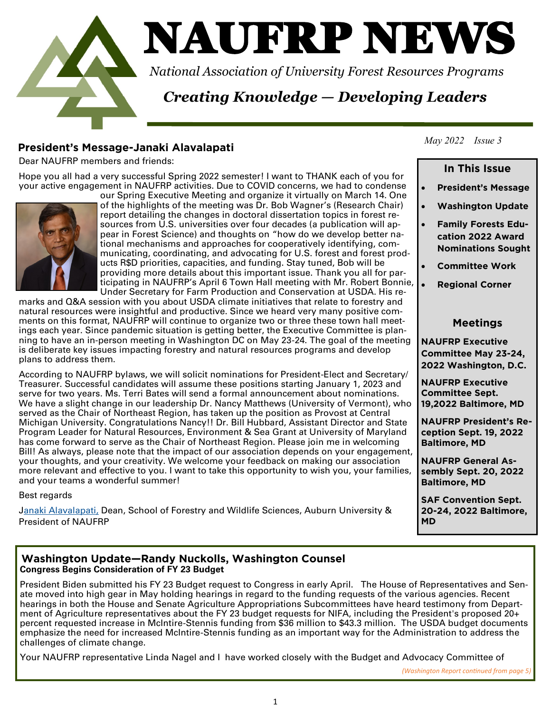

# NAUFRP NEWS

*National Association of University Forest Resources Programs*

## *Creating Knowledge — Developing Leaders*

**President MAUFRP** members and friends:

Hope you all had a very successful Spring 2022 semester! I want to THANK each of you for your active engagement in NAUFRP activities. Due to COVID concerns, we had to condense



our Spring Executive Meeting and organize it virtually on March 14. One of the highlights of the meeting was Dr. Bob Wagner's (Research Chair) report detailing the changes in doctoral dissertation topics in forest resources from U.S. universities over four decades (a publication will appear in Forest Science) and thoughts on "how do we develop better national mechanisms and approaches for cooperatively identifying, communicating, coordinating, and advocating for U.S. forest and forest products R\$D priorities, capacities, and funding. Stay tuned, Bob will be providing more details about this important issue. Thank you all for participating in NAUFRP's April 6 Town Hall meeting with Mr. Robert Bonnie, Under Secretary for Farm Production and Conservation at USDA. His re-

marks and Q&A session with you about USDA climate initiatives that relate to forestry and natural resources were insightful and productive. Since we heard very many positive comments on this format, NAUFRP will continue to organize two or three these town hall meetings each year. Since pandemic situation is getting better, the Executive Committee is planning to have an in-person meeting in Washington DC on May 23-24. The goal of the meeting is deliberate key issues impacting forestry and natural resources programs and develop plans to address them.

According to NAUFRP bylaws, we will solicit nominations for President-Elect and Secretary/ Treasurer. Successful candidates will assume these positions starting January 1, 2023 and serve for two years. Ms. Terri Bates will send a formal announcement about nominations. We have a slight change in our leadership Dr. Nancy Matthews (University of Vermont), who served as the Chair of Northeast Region, has taken up the position as Provost at Central Michigan University. Congratulations Nancy!! Dr. Bill Hubbard, Assistant Director and State Program Leader for Natural Resources, Environment & Sea Grant at University of Maryland has come forward to serve as the Chair of Northeast Region. Please join me in welcoming Bill! As always, please note that the impact of our association depends on your engagement, your thoughts, and your creativity. We welcome your feedback on making our association more relevant and effective to you. I want to take this opportunity to wish you, your families, and your teams a wonderful summer!

Best regards

[Janaki Alavalapati,](mailto:ajanaki@auburn.edu) Dean, School of Forestry and Wildlife Sciences, Auburn University & President of NAUFRP

## *May 2022 Issue 3*

### In This Issue **In This Issue**

- **President's Message**
- **Washington Update**
- **Family Forests Edu-Nominations Sought Nominations Sought**
- **Committee Work**
- **Regional Corner**

### **Meetings Meetings**

**NAUFRP Executive**  2022 Washington, D.C. **2022 Washington, D.C.** 

**Committee Sept. 19.2022 Baltimore, MD 19,2022 Baltimore, MD**

**NAUFRP President's Reception Sept. 19. 2022 Baltimore, MD Baltimore, MD**

**NAUFRP General As**sembly Sept. 20, 2022 **Baltimore, MD Baltimore, MD**

**SAF Convention Sept. 20-24, 2022 Baltimore,** 

## **Congress Begins Consideration of FY 23 Budget**

President Biden submitted his FY 23 Budget request to Congress in early April. The House of Representatives and Senate moved into high gear in May holding hearings in regard to the funding requests of the various agencies. Recent hearings in both the House and Senate Agriculture Appropriations Subcommittees have heard testimony from Department of Agriculture representatives about the FY 23 budget requests for NIFA, including the President's proposed 20+ percent requested increase in McIntire-Stennis funding from \$36 million to \$43.3 million. The USDA budget documents emphasize the need for increased McIntire-Stennis funding as an important way for the Administration to address the challenges of climate change.

Your NAUFRP representative Linda Nagel and I have worked closely with the Budget and Advocacy Committee of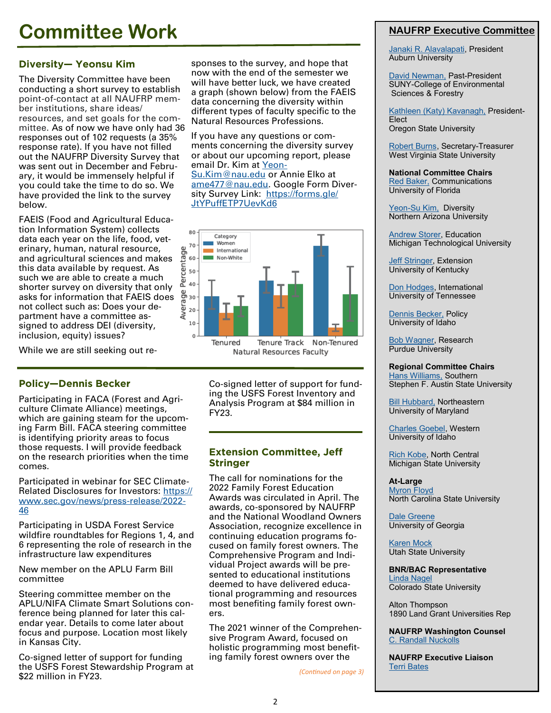## **Committee Work**

**Diversity— Yeonsu Kim** The Diversity Committee have been conducting a short survey to establish point-of-contact at all NAUFRP member institutions, share ideas/ resources, and set goals for the committee. As of now we have only had 36 responses out of 102 requests (a 35% response rate). If you have not filled out the NAUFRP Diversity Survey that was sent out in December and February, it would be immensely helpful if you could take the time to do so. We have provided the link to the survey below.

FAEIS (Food and Agricultural Education Information System) collects data each year on the life, food, veterinary, human, natural resource, and agricultural sciences and makes this data available by request. As such we are able to create a much shorter survey on diversity that only asks for information that FAEIS does not collect such as: Does your department have a committee assigned to address DEI (diversity, inclusion, equity) issues?

While we are still seeking out re-

**Participating in FACA (Forest and Agri**culture Climate Alliance) meetings, which are gaining steam for the upcoming Farm Bill. FACA steering committee is identifying priority areas to focus those requests. I will provide feedback on the research priorities when the time comes.

Participated in webinar for SEC Climate-Related Disclosures for Investors: [https://](https://www.sec.gov/news/press-release/2022-46) [www.sec.gov/news/press](https://www.sec.gov/news/press-release/2022-46)-release/2022- [46](https://www.sec.gov/news/press-release/2022-46)

Participating in USDA Forest Service wildfire roundtables for Regions 1, 4, and 6 representing the role of research in the infrastructure law expenditures

New member on the APLU Farm Bill committee

Steering committee member on the APLU/NIFA Climate Smart Solutions conference being planned for later this calendar year. Details to come later about focus and purpose. Location most likely in Kansas City.

Co-signed letter of support for funding the USFS Forest Stewardship Program at \$22 million in FY23.

sponses to the survey, and hope that now with the end of the semester we will have better luck, we have created a graph (shown below) from the FAEIS data concerning the diversity within different types of faculty specific to the Natural Resources Professions.

If you have any questions or comments concerning the diversity survey or about our upcoming report, please email Dr. Kim at [Yeon](mailto:Yeon-Su.Kim@nau.edu)-Su.Kim@nau.edu or Annie Elko at [ame477@nau.edu.](mailto:ame477@nau.edu) Google Form Diversity Survey Link: [https://forms.gle/](https://forms.gle/JtYPuffETP7UevKd6) [JtYPuffETP7UevKd6](https://forms.gle/JtYPuffETP7UevKd6)



Natural Resources Faculty

Co-signed letter of support for funding the USFS Forest Inventory and Analysis Program at \$84 million in FY23.

## **Extension Committee, Jeff**

**The call for nominations for the** 2022 Family Forest Education Awards was circulated in April. The awards, co-sponsored by NAUFRP and the National Woodland Owners Association, recognize excellence in continuing education programs focused on family forest owners. The Comprehensive Program and Individual Project awards will be presented to educational institutions deemed to have delivered educational programming and resources most benefiting family forest owners.

The 2021 winner of the Comprehensive Program Award, focused on holistic programming most benefiting family forest owners over the

*(Continued on page 3)*

## **NAUFRP Executive Committee**

[Janaki R. Alavalapati,](mailto:ajanaki@auburn.edu) President Auburn University

[David Newman,](mailto:dnewman@esf.edu) Past-President SUNY-College of Environmental Sciences & Forestry

[Kathleen \(Katy\) Kavanagh,](mailto:katy.kavanagh@oregonstate.edu) President-**Elect** Oregon State University

[Robert Burns,](mailto:Robert.Burns@mail.wvu.edu) Secretary-Treasurer West Virginia State University

**National Committee Chairs** [Red Baker,](mailto:ttredbaker@ufl.edu) Communications University of Florida

Yeon-[Su Kim,](mailto:Yeon-Su.Kim@nau.edu) Diversity Northern Arizona University

[Andrew Storer,](mailto:storer@mtu.edu) Education Michigan Technological University

**[Jeff Stringer,](mailto:jeffrey.stringer@uky.edu) Extension** University of Kentucky

[Don Hodges,](mailto:dhodges2@utk.edu) International University of Tennessee

[Dennis Becker,](mailto:drbecker@uidaho.edu) Policy University of Idaho

[Bob Wagner,](mailto:rgwagner@@purdue.edu) Research Purdue University

**Regional Committee Chairs** [Hans Williams,](mailto:hwilliams@sfasu.edu) Southern Stephen F. Austin State University

[Bill Hubbard,](mailto:whubbard@umd.edu) Northeastern University of Maryland

[Charles Goebel,](mailto:cgoebel@uidaho.edu) Western University of Idaho

[Rich Kobe,](mailto:kobe@msu.edu) North Central Michigan State University

**At-Large** [Myron Floyd](mailto:mffloyd@ncsu.edu) North Carolina State University

[Dale Greene](mailto:wdgreene@uga.edu) University of Georgia

[Karen Mock](mailto:karen.mock@usu.edu) Utah State University

**BNR/BAC Representative** [Linda Nagel](mailto:Linda.Nagel@colostate.edu) Colorado State University

Alton Thompson 1890 Land Grant Universities Rep

**NAUFRP Washington Counsel** [C. Randall Nuckolls](mailto:randy.nuckolls@dentons.com)

**NAUFRP Executive Liaison** [Terri Bates](mailto:naufrp@verizon.net)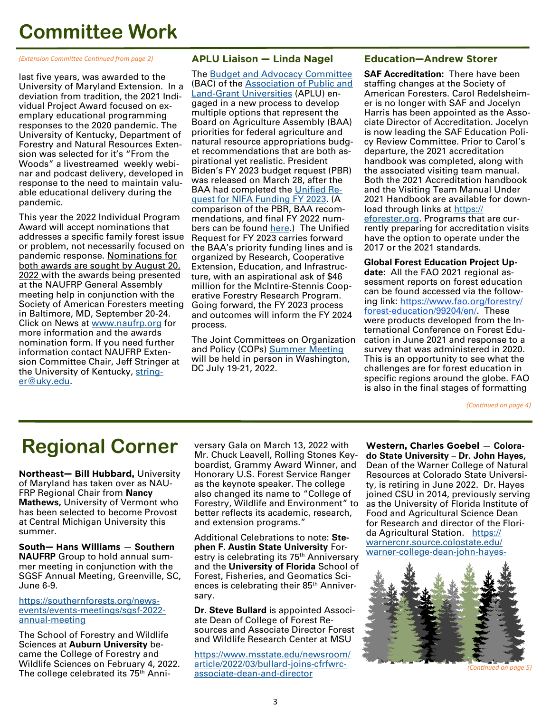## **Committee Work**

*(Extension Committee Continued from page 2)*

last five years, was awarded to the University of Maryland Extension. In a deviation from tradition, the 2021 Individual Project Award focused on exemplary educational programming responses to the 2020 pandemic. The University of Kentucky, Department of Forestry and Natural Resources Extension was selected for it's "From the Woods" a livestreamed weekly webinar and podcast delivery, developed in response to the need to maintain valuable educational delivery during the pandemic.

This year the 2022 Individual Program Award will accept nominations that addresses a specific family forest issue or problem, not necessarily focused on pandemic response. Nominations for both awards are sought by August 20, 2022 with the awards being presented at the NAUFRP General Assembly meeting help in conjunction with the Society of American Foresters meeting in Baltimore, MD, September 20-24. Click on News at [www.naufrp.org](http://www.naufrp.org) for more information and the awards nomination form. If you need further information contact NAUFRP Extension Committee Chair, Jeff Stringer at the University of Kentucky, [string](mailto:stringer@uky.edu)[er@uky.edu.](mailto:stringer@uky.edu)

**APLU Liaison — Linda Nagel**  The [Budget and Advocacy Committee](https://www.aplu.org/members/commissions/food-environment-and-renewable-resources/board-on-agriculture-assembly/policy-board-of-directors/budget-and-advocacy-committee/) (BAC) of the [Association of Public and](https://www.aplu.org/)  Land-[Grant Universities](https://www.aplu.org/) (APLU) engaged in a new process to develop multiple options that represent the Board on Agriculture Assembly (BAA) priorities for federal agriculture and natural resource appropriations budget recommendations that are both aspirational yet realistic. President Biden's FY 2023 budget request (PBR) was released on March 28, after the BAA had completed the [Unified Re](https://www.land-grant.org/_files/ugd/f06959_383ca022967f49bfa50bc4a0c0b0b892.pdf)[quest for NIFA Funding FY 2023.](https://www.land-grant.org/_files/ugd/f06959_383ca022967f49bfa50bc4a0c0b0b892.pdf) (A comparison of the PBR, BAA recommendations, and final FY 2022 numbers can be found [here.](https://acrobat.adobe.com/link/review?uri=urn:aaid:scds:US:0988f783-d487-3679-8916-2a1042a5fc52&mkt_tok=NjAzLVVSVy0xMjcAAAGDpDXaQpuMccAtt9AxVa6FGyYKVj0JCa_OdPcII15sW8qLJ9aKGKgm5QTg5oueN5oRziL2jNJvRHsQ7CPE3vxsiXv3E0_gtWj5_e-LcOXUSRE#pageNum=1)) The Unified Request for FY 2023 carries forward the BAA's priority funding lines and is organized by Research, Cooperative Extension, Education, and Infrastructure, with an aspirational ask of \$46 million for the McIntire-Stennis Cooperative Forestry Research Program. Going forward, the FY 2023 process and outcomes will inform the FY 2024 process.

The Joint Committees on Organization and Policy (COPs) [Summer Meeting](https://www.aplu.org/meetings-and-events/events/2022-joint-committees-on-organization-and-policy-cops-summer-meeting) will be held in person in Washington, DC July 19-21, 2022.

### **Education-Andrew Storer**

**Education—Andrew Storer SAF Accreditation:** There have been staffing changes at the Society of American Foresters. Carol Redelsheimer is no longer with SAF and Jocelyn Harris has been appointed as the Associate Director of Accreditation. Jocelyn is now leading the SAF Education Policy Review Committee. Prior to Carol's departure, the 2021 accreditation handbook was completed, along with the associated visiting team manual. Both the 2021 Accreditation handbook and the Visiting Team Manual Under 2021 Handbook are available for download through links at [https://](https://eforester.org) [eforester.org.](https://eforester.org) Programs that are currently preparing for accreditation visits have the option to operate under the 2017 or the 2021 standards.

**Global Forest Education Project Update:** All the FAO 2021 regional assessment reports on forest education can be found accessed via the following link: [https://www.fao.org/forestry/](https://www.fao.org/forestry/forest-education/99204/en/) forest-[education/99204/en/.](https://www.fao.org/forestry/forest-education/99204/en/) These were products developed from the International Conference on Forest Education in June 2021 and response to a survey that was administered in 2020. This is an opportunity to see what the challenges are for forest education in specific regions around the globe. FAO is also in the final stages of formatting

*(Continued on page 4)*

## **Regional Corner**

**Northeast— Bill Hubbard,** University of Maryland has taken over as NAU-FRP Regional Chair from **Nancy Mathews,** University of Vermont who has been selected to become Provost at Central Michigan University this summer.

**South— Hans Williams** — **Southern NAUFRP** Group to hold annual summer meeting in conjunction with the SGSF Annual Meeting, Greenville, SC, June 6-9.

[https://southernforests.org/news](https://southernforests.org/news-events/events-meetings/sgsf-2022-annual-meeting)events/events-[meetings/sgsf](https://southernforests.org/news-events/events-meetings/sgsf-2022-annual-meeting)-2022 annual-[meeting](https://southernforests.org/news-events/events-meetings/sgsf-2022-annual-meeting)

The School of Forestry and Wildlife Sciences at **Auburn University** became the College of Forestry and Wildlife Sciences on February 4, 2022. The college celebrated its 75<sup>th</sup> Anniversary Gala on March 13, 2022 with Mr. Chuck Leavell, Rolling Stones Keyboardist, Grammy Award Winner, and Honorary U.S. Forest Service Ranger as the keynote speaker. The college also changed its name to "College of Forestry, Wildlife and Environment" to better reflects its academic, research, and extension programs."

Additional Celebrations to note: **Stephen F. Austin State University** Forestry is celebrating its 75<sup>th</sup> Anniversary and the **University of Florida** School of Forest, Fisheries, and Geomatics Sciences is celebrating their 85th Anniversary.

**Dr. Steve Bullard** is appointed Associate Dean of College of Forest Resources and Associate Director Forest and Wildlife Research Center at MSU

[https://www.msstate.edu/newsroom/](https://www.msstate.edu/newsroom/article/2022/03/bullard-joins-cfrfwrc-associate-dean-and-director) [article/2022/03/bullard](https://www.msstate.edu/newsroom/article/2022/03/bullard-joins-cfrfwrc-associate-dean-and-director)-joins-cfrfwrc[associate](https://www.msstate.edu/newsroom/article/2022/03/bullard-joins-cfrfwrc-associate-dean-and-director)-dean-and-director

**Western, Charles Goebel** — **Colorado State University** – **Dr. John Hayes,**  Dean of the Warner College of Natural Resources at Colorado State University, is retiring in June 2022. Dr. Hayes joined CSU in 2014, previously serving as the University of Florida Institute of Food and Agricultural Science Dean for Research and director of the Florida Agricultural Station. [https://](https://warnercnr.source.colostate.edu/warner-college-dean-john-hayes-announces-retirement-at-end-of-2021-22-academic-year/) [warnercnr.source.colostate.edu/](https://warnercnr.source.colostate.edu/warner-college-dean-john-hayes-announces-retirement-at-end-of-2021-22-academic-year/) warner-[college](https://warnercnr.source.colostate.edu/warner-college-dean-john-hayes-announces-retirement-at-end-of-2021-22-academic-year/)-dean-john-hayes-



*(Continued on page 5)*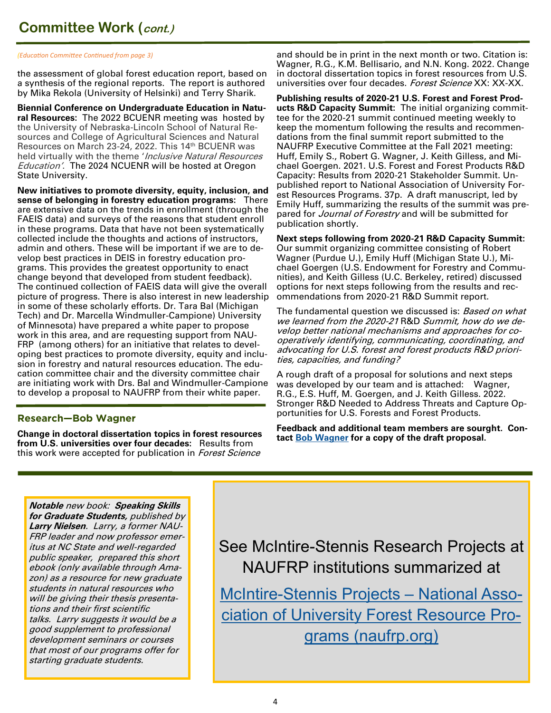*(Education Committee Continued from page 3)*

the assessment of global forest education report, based on a synthesis of the regional reports. The report is authored by Mika Rekola (University of Helsinki) and Terry Sharik.

**Biennial Conference on Undergraduate Education in Natural Resources:** The 2022 BCUENR meeting was hosted by the University of Nebraska-Lincoln School of Natural Resources and College of Agricultural Sciences and Natural Resources on March 23-24, 2022. This 14th BCUENR was held virtually with the theme '*Inclusive Natural Resources* Education'. The 2024 NCUENR will be hosted at Oregon State University.

**New initiatives to promote diversity, equity, inclusion, and sense of belonging in forestry education programs:** There are extensive data on the trends in enrollment (through the FAEIS data) and surveys of the reasons that student enroll in these programs. Data that have not been systematically collected include the thoughts and actions of instructors, admin and others. These will be important if we are to develop best practices in DEIS in forestry education programs. This provides the greatest opportunity to enact change beyond that developed from student feedback). The continued collection of FAEIS data will give the overall picture of progress. There is also interest in new leadership in some of these scholarly efforts. Dr. Tara Bal (Michigan Tech) and Dr. Marcella Windmuller-Campione) University of Minnesota) have prepared a white paper to propose work in this area, and are requesting support from NAU-FRP (among others) for an initiative that relates to developing best practices to promote diversity, equity and inclusion in forestry and natural resources education. The education committee chair and the diversity committee chair are initiating work with Drs. Bal and Windmuller-Campione to develop a proposal to NAUFRP from their white paper.

**Research—Bob Wagner Change in doctoral dissertation topics in forest resources from U.S. universities over four decades:** Results from this work were accepted for publication in *Forest Science* 

and should be in print in the next month or two. Citation is: Wagner, R.G., K.M. Bellisario, and N.N. Kong. 2022. Change in doctoral dissertation topics in forest resources from U.S. universities over four decades. Forest Science XX: XX-XX.

**Publishing results of 2020-21 U.S. Forest and Forest Products R&D Capacity Summit:** The initial organizing committee for the 2020-21 summit continued meeting weekly to keep the momentum following the results and recommendations from the final summit report submitted to the NAUFRP Executive Committee at the Fall 2021 meeting: Huff, Emily S., Robert G. Wagner, J. Keith Gilless, and Michael Goergen. 2021. U.S. Forest and Forest Products R&D Capacity: Results from 2020-21 Stakeholder Summit. Unpublished report to National Association of University Forest Resources Programs. 37p. A draft manuscript, led by Emily Huff, summarizing the results of the summit was prepared for *Journal of Forestry* and will be submitted for publication shortly.

**Next steps following from 2020-21 R&D Capacity Summit:**  Our summit organizing committee consisting of Robert Wagner (Purdue U.), Emily Huff (Michigan State U.), Michael Goergen (U.S. Endowment for Forestry and Communities), and Keith Gilless (U.C. Berkeley, retired) discussed options for next steps following from the results and recommendations from 2020-21 R&D Summit report.

The fundamental question we discussed is: Based on what we learned from the 2020-21 R&D Summit, how do we develop better national mechanisms and approaches for cooperatively identifying, communicating, coordinating, and advocating for U.S. forest and forest products R&D priorities, capacities, and funding?

A rough draft of a proposal for solutions and next steps was developed by our team and is attached: Wagner, R.G., E.S. Huff, M. Goergen, and J. Keith Gilless. 2022. Stronger R&D Needed to Address Threats and Capture Opportunities for U.S. Forests and Forest Products.

**Feedback and additional team members are sourght. Contact [Bob Wagner](mailto:rgwagner@purdue.edu) for a copy of the draft proposal.** 

**Notable** new book: **Speaking Skills for Graduate Students,** published by **Larry Nielsen**. Larry, a former NAU-FRP leader and now professor emeritus at NC State and well-regarded public speaker, prepared this short ebook (only available through Amazon) as a resource for new graduate students in natural resources who will be giving their thesis presentations and their first scientific talks. Larry suggests it would be a good supplement to professional development seminars or courses that most of our programs offer for starting graduate students.

See McIntire-Stennis Research Projects at NAUFRP institutions summarized at

McIntire-[Stennis Projects –](http://naufrp.org/node/36) National Asso[ciation of University Forest Resource Pro](http://naufrp.org/node/36)[grams \(naufrp.org\)](http://naufrp.org/node/36)